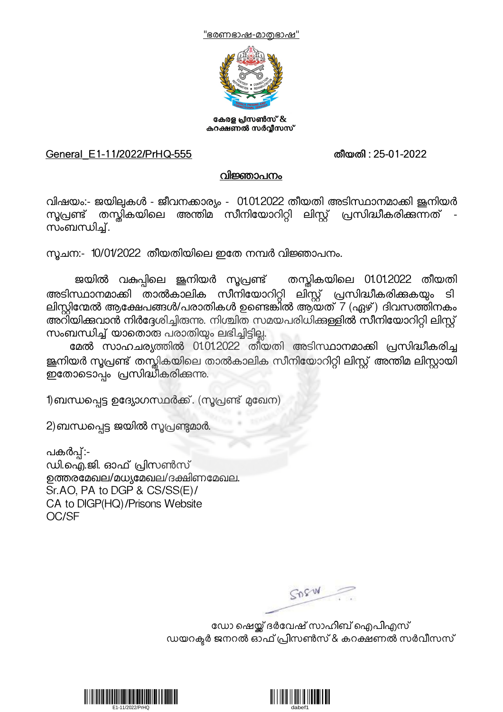



കേരള പ്രസൺസ് & കറക്ഷണൽ സർവ്വീസസ്

## General\_E1-11/2022/PrHQ-555 തീയതി : 25-01-2022

## വിജ്ഞാപനം

വിഷയം:- ജയില്പകൾ - ജീവനക്കാര്യം - 01.01.2022 തീയതി അടിസ്ഥാനമാക്കി ജനിയർ സൂപ്രണ്ട് തസ്തികയിലെ അന്തിമ സീനിയോറിറ്റി ലിസ്റ്റ് പ്രസിദ്ധീകരിക്കുന്നത്<br>സംബന്ധിച്

സ്രചന:- 10/01/2022 തീയതിയിലെ ഇതേ നമ്പർ വിജ്ഞാപനം.

ജയിൽ വകുപ്പിലെ ജൂനിയർ സൂപ്രണ്ട് തസ്കികയിലെ 01.01.2022 തീയതി അടിസ്ഥാനമാക്കി താൽകാലിക സീനിയോറിറ്റി ലിസ്റ്റ് പ്രസിദ്ധീകരിക്കുകയും ടി<br>ലിസ്റ്റിന്മേൽ ആക്ഷേപങ്ങൾ/പരാതികൾ ഉണ്ടെങ്കിൽ ആയത് 7 (ഏഴ്) ദിവസത്തിനകം അറിയിക്കവാൻ നിർദ്ദേശിച്ചിരുന്നു. നിശ്ചിത സമയപരിധിക്കള്ളിൽ സീനിയോറിറ്റി ലിസ്റ്റ്<br>സംബന്ധിച്ച് യാതൊരു പരാതിയും ലഭിച്ചിട്ടില്ല.

മേൽ സാഹചര്യത്തിൽ 01.01.2022 തീയതി അടിസ്ഥാനമാക്കി പ്രസിദ്ധീകരിച്ച ജ്ഞിയർ സൂപ്രണ്ട് തസ്കികയിലെ താൽകാലിക സീനിയോറിറ്റി ലിസ്റ്റ് അന്തിമ ലിസ്റ്റായി ഇതോടൊപ്പം പ്രസിദ്ധീകരിക്കുന്നു.

1)ബന്ധപ്പെട്ട ഉദ്യോഗസ്ഥർക്ക്. (സൂപ്രണ്ട് മുഖേന)

2)ബന്ധപ്പെട്ട ജയിൽ സൂപ്രണ്ടുമാർ.

പകർപ്പ്:-<br>ഡി.ഐ.ജി. ഓഫ് പ്രിസൺസ് ഉത്തരമേഖല/മധ്യമേഖല/ദക്ഷിണമേഖല. Sr.AO, PA to DGP & CS/SS(E)/ CA to DIGP(HQ)/Prisons Website OC/SF

SORW

ഡോ ഷെയ്ക് ദർവേഷ് സാഹിബ് ഐപിഎസ് ഡയറക്ടർ ജനറൽ ഓഫ് പ്രിസൺസ് & കറക്ഷണൽ സർവീസസ്